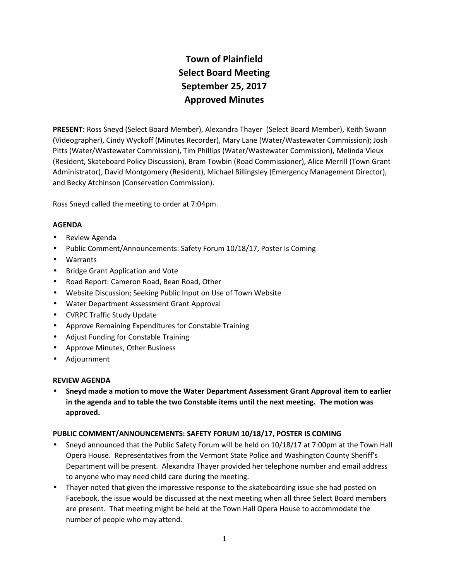# **Town of Plainfield Select Board Meeting September 25, 2017 Approved Minutes**

**PRESENT:** Ross Sneyd (Select Board Member), Alexandra Thayer (Select Board Member), Keith Swann (Videographer), Cindy Wyckoff (Minutes Recorder), Mary Lane (Water/Wastewater Commission); Josh Pitts (Water/Wastewater Commission), Tim Phillips (Water/Wastewater Commission), Melinda Vieux (Resident, Skateboard Policy Discussion), Bram Towbin (Road Commissioner), Alice Merrill (Town Grant Administrator), David Montgomery (Resident), Michael Billingsley (Emergency Management Director), and Becky Atchinson (Conservation Commission).

Ross Sneyd called the meeting to order at 7:04pm.

# **AGENDA**

- Review Agenda
- Public Comment/Announcements: Safety Forum 10/18/17, Poster Is Coming
- Warrants
- Bridge Grant Application and Vote
- Road Report: Cameron Road, Bean Road, Other
- Website Discussion; Seeking Public Input on Use of Town Website
- Water Department Assessment Grant Approval
- CVRPC Traffic Study Update
- Approve Remaining Expenditures for Constable Training
- Adjust Funding for Constable Training
- Approve Minutes, Other Business
- Adjournment

## **REVIEW AGENDA**

 **Sneyd made a motion to move the Water Department Assessment Grant Approval item to earlier in the agenda and to table the two Constable items until the next meeting. The motion was approved.**

## **PUBLIC COMMENT/ANNOUNCEMENTS: SAFETY FORUM 10/18/17, POSTER IS COMING**

- Sneyd announced that the Public Safety Forum will be held on 10/18/17 at 7:00pm at the Town Hall Opera House. Representatives from the Vermont State Police and Washington County Sheriff's Department will be present. Alexandra Thayer provided her telephone number and email address to anyone who may need child care during the meeting.
- Thayer noted that given the impressive response to the skateboarding issue she had posted on Facebook, the issue would be discussed at the next meeting when all three Select Board members are present. That meeting might be held at the Town Hall Opera House to accommodate the number of people who may attend.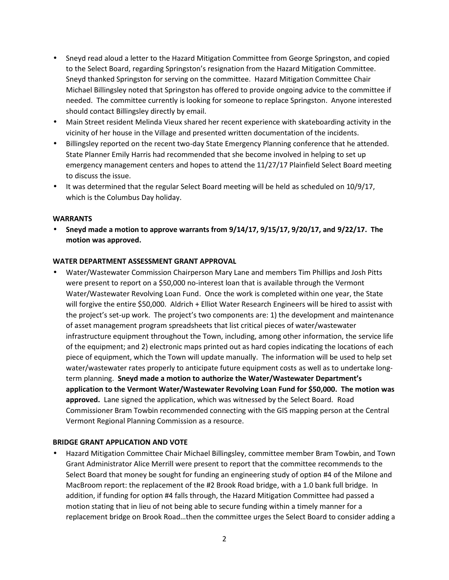- Sneyd read aloud a letter to the Hazard Mitigation Committee from George Springston, and copied to the Select Board, regarding Springston's resignation from the Hazard Mitigation Committee. Sneyd thanked Springston for serving on the committee. Hazard Mitigation Committee Chair Michael Billingsley noted that Springston has offered to provide ongoing advice to the committee if needed. The committee currently is looking for someone to replace Springston. Anyone interested should contact Billingsley directly by email.
- Main Street resident Melinda Vieux shared her recent experience with skateboarding activity in the vicinity of her house in the Village and presented written documentation of the incidents.
- Billingsley reported on the recent two-day State Emergency Planning conference that he attended. State Planner Emily Harris had recommended that she become involved in helping to set up emergency management centers and hopes to attend the 11/27/17 Plainfield Select Board meeting to discuss the issue.
- It was determined that the regular Select Board meeting will be held as scheduled on 10/9/17, which is the Columbus Day holiday.

## **WARRANTS**

 **Sneyd made a motion to approve warrants from 9/14/17, 9/15/17, 9/20/17, and 9/22/17. The motion was approved.**

#### **WATER DEPARTMENT ASSESSMENT GRANT APPROVAL**

 Water/Wastewater Commission Chairperson Mary Lane and members Tim Phillips and Josh Pitts were present to report on a \$50,000 no-interest loan that is available through the Vermont Water/Wastewater Revolving Loan Fund. Once the work is completed within one year, the State will forgive the entire \$50,000. Aldrich + Elliot Water Research Engineers will be hired to assist with the project's set-up work. The project's two components are: 1) the development and maintenance of asset management program spreadsheets that list critical pieces of water/wastewater infrastructure equipment throughout the Town, including, among other information, the service life of the equipment; and 2) electronic maps printed out as hard copies indicating the locations of each piece of equipment, which the Town will update manually. The information will be used to help set water/wastewater rates properly to anticipate future equipment costs as well as to undertake long term planning. **Sneyd made a motion to authorize the Water/Wastewater Department's application to the Vermont Water/Wastewater Revolving Loan Fund for \$50,000. The motion was approved.** Lane signed the application, which was witnessed by the Select Board. Road Commissioner Bram Towbin recommended connecting with the GIS mapping person at the Central Vermont Regional Planning Commission as a resource.

#### **BRIDGE GRANT APPLICATION AND VOTE**

 Hazard Mitigation Committee Chair Michael Billingsley, committee member Bram Towbin, and Town Grant Administrator Alice Merrill were present to report that the committee recommends to the Select Board that money be sought for funding an engineering study of option #4 of the Milone and MacBroom report: the replacement of the #2 Brook Road bridge, with a 1.0 bank full bridge. In addition, if funding for option #4 falls through, the Hazard Mitigation Committee had passed a motion stating that in lieu of not being able to secure funding within a timely manner for a replacement bridge on Brook Road…then the committee urges the Select Board to consider adding a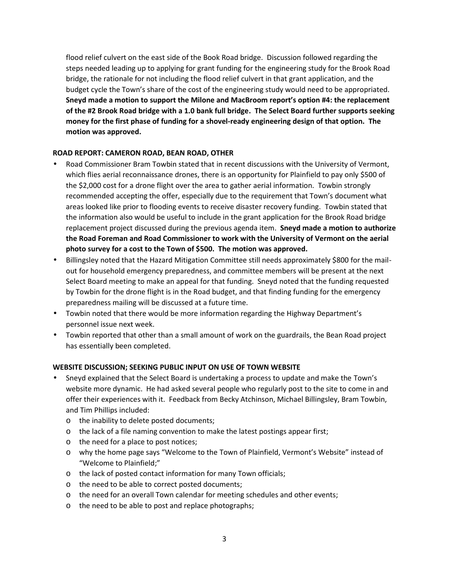flood relief culvert on the east side of the Book Road bridge. Discussion followed regarding the steps needed leading up to applying for grant funding for the engineering study for the Brook Road bridge, the rationale for not including the flood relief culvert in that grant application, and the budget cycle the Town's share of the cost of the engineering study would need to be appropriated. **Sneyd made a motion to support the Milone and MacBroom report's option #4: the replacement of the #2 Brook Road bridge with a 1.0 bank full bridge. The Select Board further supports seeking money for the first phase of funding for a shovel-ready engineering design of that option. The motion was approved.**

# **ROAD REPORT: CAMERON ROAD, BEAN ROAD, OTHER**

- Road Commissioner Bram Towbin stated that in recent discussions with the University of Vermont, which flies aerial reconnaissance drones, there is an opportunity for Plainfield to pay only \$500 of the \$2,000 cost for a drone flight over the area to gather aerial information. Towbin strongly recommended accepting the offer, especially due to the requirement that Town's document what areas looked like prior to flooding events to receive disaster recovery funding. Towbin stated that the information also would be useful to include in the grant application for the Brook Road bridge replacement project discussed during the previous agenda item. **Sneyd made a motion to authorize the Road Foreman and Road Commissioner to work with the University of Vermont on the aerial photo survey for a cost to the Town of \$500. The motion was approved.**
- Billingsley noted that the Hazard Mitigation Committee still needs approximately \$800 for the mailout for household emergency preparedness, and committee members will be present at the next Select Board meeting to make an appeal for that funding. Sneyd noted that the funding requested by Towbin for the drone flight is in the Road budget, and that finding funding for the emergency preparedness mailing will be discussed at a future time.
- Towbin noted that there would be more information regarding the Highway Department's personnel issue next week.
- Towbin reported that other than a small amount of work on the guardrails, the Bean Road project has essentially been completed.

## **WEBSITE DISCUSSION; SEEKING PUBLIC INPUT ON USE OF TOWN WEBSITE**

- Sneyd explained that the Select Board is undertaking a process to update and make the Town's website more dynamic. He had asked several people who regularly post to the site to come in and offer their experiences with it. Feedback from Becky Atchinson, Michael Billingsley, Bram Towbin, and Tim Phillips included:
	- o the inability to delete posted documents;
	- o the lack of a file naming convention to make the latest postings appear first;
	- o the need for a place to post notices;
	- o why the home page says "Welcome to the Town of Plainfield, Vermont's Website" instead of "Welcome to Plainfield;"
	- o the lack of posted contact information for many Town officials;
	- o the need to be able to correct posted documents;
	- o the need for an overall Town calendar for meeting schedules and other events;
	- o the need to be able to post and replace photographs;